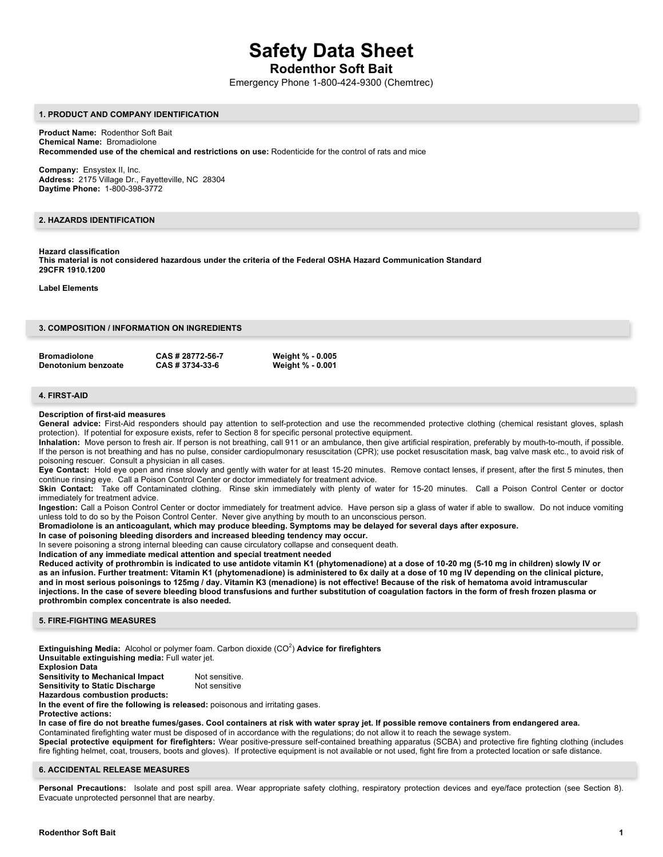# **Safety Data Sheet**

# **Rodenthor Soft Bait**

Emergency Phone 1-800-424-9300 (Chemtrec)

#### **1. PRODUCT AND COMPANY IDENTIFICATION**

**Product Name:** Rodenthor Soft Bait **Chemical Name:** Bromadiolone **Recommended use of the chemical and restrictions on use:** Rodenticide for the control of rats and mice

**Company:** Ensystex II, Inc. **Address:** 2175 Village Dr., Fayetteville, NC 28304 **Daytime Phone:** 1-800-398-3772

# **2. HAZARDS IDENTIFICATION**

## **Hazard classification**

**This material is not considered hazardous under the criteria of the Federal OSHA Hazard Communication Standard 29CFR 1910.1200**

**Label Elements**

| 3. COMPOSITION / INFORMATION ON INGREDIENTS |
|---------------------------------------------|
|---------------------------------------------|

| <b>Bromadiolone</b> | CAS # 28772-56-7 | <b>Weight % - 0.005</b> |
|---------------------|------------------|-------------------------|
| Denotonium benzoate | CAS # 3734-33-6  | <b>Weight % - 0.001</b> |

# **4. FIRST-AID**

#### **Description of first-aid measures**

General advice: First-Aid responders should pay attention to self-protection and use the recommended protective clothing (chemical resistant gloves, splash protection). If potential for exposure exists, refer to Section 8 for specific personal protective equipment.

**Inhalation:** Move person to fresh air. If person is not breathing, call 911 or an ambulance, then give artificial respiration, preferably by mouth-to-mouth, if possible. If the person is not breathing and has no pulse, consider cardiopulmonary resuscitation (CPR); use pocket resuscitation mask, bag valve mask etc., to avoid risk of poisoning rescuer. Consult a physician in all cases.

**Eye Contact:** Hold eye open and rinse slowly and gently with water for at least 15-20 minutes. Remove contact lenses, if present, after the first 5 minutes, then continue rinsing eye. Call a Poison Control Center or doctor immediately for treatment advice.

Skin Contact: Take off Contaminated clothing. Rinse skin immediately with plenty of water for 15-20 minutes. Call a Poison Control Center or doctor immediately for treatment advice.

**Ingestion:** Call a Poison Control Center or doctor immediately for treatment advice. Have person sip a glass of water if able to swallow. Do not induce vomiting unless told to do so by the Poison Control Center. Never give anything by mouth to an unconscious person.

**Bromadiolone is an anticoagulant, which may produce bleeding. Symptoms may be delayed for several days after exposure.**

#### **In case of poisoning bleeding disorders and increased bleeding tendency may occur.**

In severe poisoning a strong internal bleeding can cause circulatory collapse and consequent death.

**Indication of any immediate medical attention and special treatment needed**

**Reduced activity of prothrombin is indicated to use antidote vitamin K1 (phytomenadione) at a dose of 10-20 mg (5-10 mg in children) slowly IV or as an infusion. Further treatment: Vitamin K1 (phytomenadione) is administered to 6x daily at a dose of 10 mg IV depending on the clinical picture, and in most serious poisonings to 125mg / day. Vitamin K3 (menadione) is not effective! Because of the risk of hematoma avoid intramuscular injections. In the case of severe bleeding blood transfusions and further substitution of coagulation factors in the form of fresh frozen plasma or prothrombin complex concentrate is also needed.**

#### **5. FIRE-FIGHTING MEASURES**

**Extinguishing Media:** Alcohol or polymer foam. Carbon dioxide (CO<sup>2</sup>) Advice for firefighters **Unsuitable extinguishing media:** Full water jet.

**Explosion Data**

**Sensitivity to Mechanical Impact** Not sensitive.<br> **Sensitivity to Static Discharge** Not sensitive

**Sensitivity to Static Discharge** 

**Hazardous combustion products:**

**In the event of fire the following is released:** poisonous and irritating gases.

**Protective actions:**

**In case of fire do not breathe fumes/gases. Cool containers at risk with water spray jet. If possible remove containers from endangered area.** Contaminated firefighting water must be disposed of in accordance with the regulations; do not allow it to reach the sewage system.

**Special protective equipment for firefighters:** Wear positive-pressure self-contained breathing apparatus (SCBA) and protective fire fighting clothing (includes fire fighting helmet, coat, trousers, boots and gloves). If protective equipment is not available or not used, fight fire from a protected location or safe distance.

#### **6. ACCIDENTAL RELEASE MEASURES**

Personal Precautions: Isolate and post spill area. Wear appropriate safety clothing, respiratory protection devices and eye/face protection (see Section 8). Evacuate unprotected personnel that are nearby.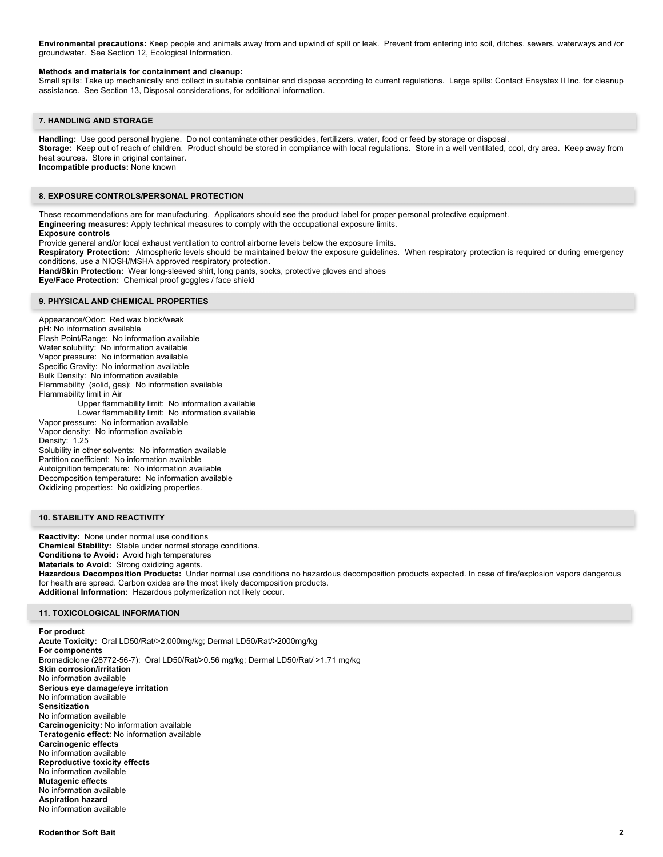**Environmental precautions:** Keep people and animals away from and upwind of spill or leak. Prevent from entering into soil, ditches, sewers, waterways and /or groundwater. See Section 12, Ecological Information.

#### **Methods and materials for containment and cleanup:**

Small spills: Take up mechanically and collect in suitable container and dispose according to current regulations. Large spills: Contact Ensystex II Inc. for cleanup assistance. See Section 13, Disposal considerations, for additional information.

#### **7. HANDLING AND STORAGE**

**Handling:** Use good personal hygiene. Do not contaminate other pesticides, fertilizers, water, food or feed by storage or disposal. **Storage:** Keep out of reach of children. Product should be stored in compliance with local regulations. Store in a well ventilated, cool, dry area. Keep away from heat sources. Store in original container. **Incompatible products:** None known

## **8. EXPOSURE CONTROLS/PERSONAL PROTECTION**

These recommendations are for manufacturing. Applicators should see the product label for proper personal protective equipment. **Engineering measures:** Apply technical measures to comply with the occupational exposure limits.

## **Exposure controls**

Provide general and/or local exhaust ventilation to control airborne levels below the exposure limits.

**Respiratory Protection:** Atmospheric levels should be maintained below the exposure guidelines. When respiratory protection is required or during emergency conditions, use a NIOSH/MSHA approved respiratory protection.

**Hand/Skin Protection:** Wear long-sleeved shirt, long pants, socks, protective gloves and shoes

**Eye/Face Protection:** Chemical proof goggles / face shield

### **9. PHYSICAL AND CHEMICAL PROPERTIES**

Appearance/Odor: Red wax block/weak pH: No information available Flash Point/Range: No information available Water solubility: No information available Vapor pressure: No information available Specific Gravity: No information available Bulk Density: No information available Flammability (solid, gas): No information available Flammability limit in Air Upper flammability limit: No information available Lower flammability limit: No information available Vapor pressure: No information available Vapor density: No information available Density: 1.25 Solubility in other solvents: No information available Partition coefficient: No information available Autoignition temperature: No information available Decomposition temperature: No information available Oxidizing properties: No oxidizing properties.

# **10. STABILITY AND REACTIVITY**

**Reactivity:** None under normal use conditions **Chemical Stability:** Stable under normal storage conditions. **Conditions to Avoid:** Avoid high temperatures **Materials to Avoid:** Strong oxidizing agents. **Hazardous Decomposition Products:** Under normal use conditions no hazardous decomposition products expected. In case of fire/explosion vapors dangerous for health are spread. Carbon oxides are the most likely decomposition products. **Additional Information:** Hazardous polymerization not likely occur.

### **11. TOXICOLOGICAL INFORMATION**

# **For product**

**Acute Toxicity:** Oral LD50/Rat/>2,000mg/kg; Dermal LD50/Rat/>2000mg/kg **For components** Bromadiolone (28772-56-7): Oral LD50/Rat/>0.56 mg/kg; Dermal LD50/Rat/ >1.71 mg/kg **Skin corrosion/irritation** No information available **Serious eye damage/eye irritation** No information available **Sensitization** No information available **Carcinogenicity:** No information available **Teratogenic effect:** No information available **Carcinogenic effects** No information available **Reproductive toxicity effects** No information available **Mutagenic effects** No information available **Aspiration hazard** No information available